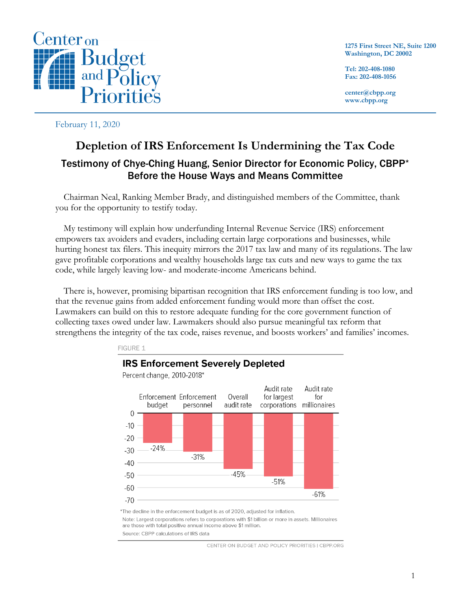

**1275 First Street NE, Suite 1200 Washington, DC 20002**

**Tel: 202-408-1080 Fax: 202-408-1056**

**center@cbpp.org www.cbpp.org**

February 11, 2020

# **Depletion of IRS Enforcement Is Undermining the Tax Code** Testimony of Chye-Ching Huang, Senior Director for Economic Policy, CBPP\* Before the House Ways and Means Committee

Chairman Neal, Ranking Member Brady, and distinguished members of the Committee, thank you for the opportunity to testify today.

My testimony will explain how underfunding Internal Revenue Service (IRS) enforcement empowers tax avoiders and evaders, including certain large corporations and businesses, while hurting honest tax filers. This inequity mirrors the 2017 tax law and many of its regulations. The law gave profitable corporations and wealthy households large tax cuts and new ways to game the tax code, while largely leaving low- and moderate-income Americans behind.

There is, however, promising bipartisan recognition that IRS enforcement funding is too low, and that the revenue gains from added enforcement funding would more than offset the cost. Lawmakers can build on this to restore adequate funding for the core government function of collecting taxes owed under law. Lawmakers should also pursue meaningful tax reform that strengthens the integrity of the tax code, raises revenue, and boosts workers' and families' incomes.



Note: Largest corporations refers to corporations with \$1 billion or more in assets. Millionaires are those with total positive annual income above \$1 million.

Source: CBPP calculations of IRS data

CENTER ON BUDGET AND POLICY PRIORITIES | CBPP.ORG

**FIGURE 1**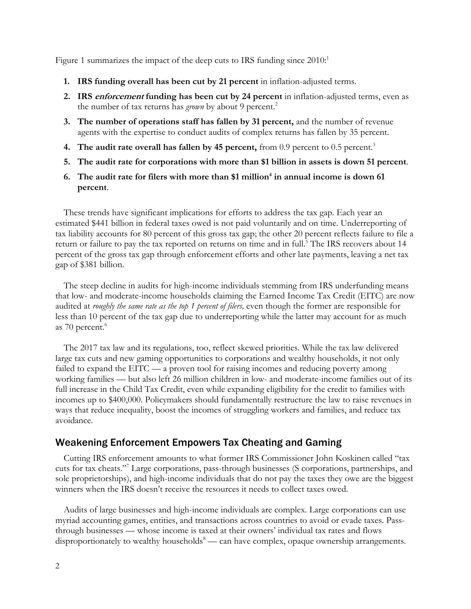Figure 1 summarizes the impact of the deep cuts to IRS funding since 2010:<sup>1</sup>

- **1. IRS funding overall has been cut by 21 percent** in inflation-adjusted terms.
- **2. IRS enforcement funding has been cut by 24 percent** in inflation-adjusted terms, even as the number of tax returns has *grown* by about 9 percent.<sup>2</sup>
- **3. The number of operations staff has fallen by 31 percent,** and the number of revenue agents with the expertise to conduct audits of complex returns has fallen by 35 percent.
- **4. The audit rate overall has fallen by 45 percent,** from 0.9 percent to 0.5 percent. 3
- **5. The audit rate for corporations with more than \$1 billion in assets is down 51 percent**.
- **6.** The audit rate for filers with more than \$1 million<sup>4</sup> in annual income is down 61 **percent**.

These trends have significant implications for efforts to address the tax gap. Each year an estimated \$441 billion in federal taxes owed is not paid voluntarily and on time. Underreporting of tax liability accounts for 80 percent of this gross tax gap; the other 20 percent reflects failure to file a return or failure to pay the tax reported on returns on time and in full.<sup>5</sup> The IRS recovers about 14 percent of the gross tax gap through enforcement efforts and other late payments, leaving a net tax gap of \$381 billion.

The steep decline in audits for high-income individuals stemming from IRS underfunding means that low- and moderate-income households claiming the Earned Income Tax Credit (EITC) are now audited at *roughly the same rate as the top 1 percent of filers,* even though the former are responsible for less than 10 percent of the tax gap due to underreporting while the latter may account for as much as 70 percent. 6

The 2017 tax law and its regulations, too, reflect skewed priorities. While the tax law delivered large tax cuts and new gaming opportunities to corporations and wealthy households, it not only failed to expand the EITC — a proven tool for raising incomes and reducing poverty among working families — but also left 26 million children in low- and moderate-income families out of its full increase in the Child Tax Credit, even while expanding eligibility for the credit to families with incomes up to \$400,000. Policymakers should fundamentally restructure the law to raise revenues in ways that reduce inequality, boost the incomes of struggling workers and families, and reduce tax avoidance.

### Weakening Enforcement Empowers Tax Cheating and Gaming

Cutting IRS enforcement amounts to what former IRS Commissioner John Koskinen called "tax cuts for tax cheats."7 Large corporations, pass-through businesses (S corporations, partnerships, and sole proprietorships), and high-income individuals that do not pay the taxes they owe are the biggest winners when the IRS doesn't receive the resources it needs to collect taxes owed.

Audits of large businesses and high-income individuals are complex. Large corporations can use myriad accounting games, entities, and transactions across countries to avoid or evade taxes. Passthrough businesses — whose income is taxed at their owners' individual tax rates and flows disproportionately to wealthy households<sup>8</sup> — can have complex, opaque ownership arrangements.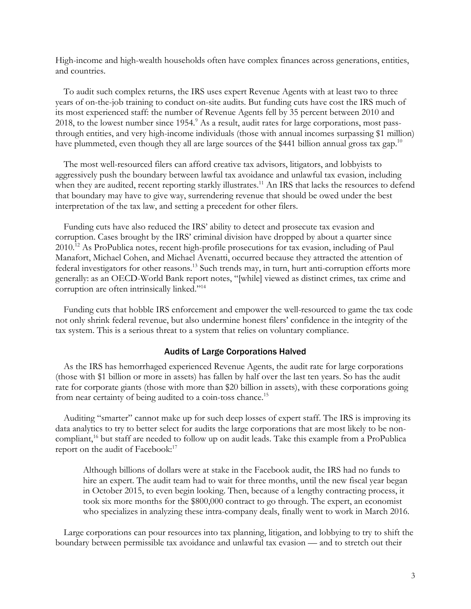High-income and high-wealth households often have complex finances across generations, entities, and countries.

To audit such complex returns, the IRS uses expert Revenue Agents with at least two to three years of on-the-job training to conduct on-site audits. But funding cuts have cost the IRS much of its most experienced staff: the number of Revenue Agents fell by 35 percent between 2010 and 2018, to the lowest number since 1954.<sup>9</sup> As a result, audit rates for large corporations, most passthrough entities, and very high-income individuals (those with annual incomes surpassing \$1 million) have plummeted, even though they all are large sources of the \$441 billion annual gross tax gap.<sup>10</sup>

The most well-resourced filers can afford creative tax advisors, litigators, and lobbyists to aggressively push the boundary between lawful tax avoidance and unlawful tax evasion, including when they are audited, recent reporting starkly illustrates.<sup>11</sup> An IRS that lacks the resources to defend that boundary may have to give way, surrendering revenue that should be owed under the best interpretation of the tax law, and setting a precedent for other filers.

Funding cuts have also reduced the IRS' ability to detect and prosecute tax evasion and corruption. Cases brought by the IRS' criminal division have dropped by about a quarter since 2010.<sup>12</sup> As ProPublica notes, recent high-profile prosecutions for tax evasion, including of Paul Manafort, Michael Cohen, and Michael Avenatti, occurred because they attracted the attention of federal investigators for other reasons.<sup>13</sup> Such trends may, in turn, hurt anti-corruption efforts more generally: as an OECD-World Bank report notes, "[while] viewed as distinct crimes, tax crime and corruption are often intrinsically linked."14

Funding cuts that hobble IRS enforcement and empower the well-resourced to game the tax code not only shrink federal revenue, but also undermine honest filers' confidence in the integrity of the tax system. This is a serious threat to a system that relies on voluntary compliance.

#### Audits of Large Corporations Halved

As the IRS has hemorrhaged experienced Revenue Agents, the audit rate for large corporations (those with \$1 billion or more in assets) has fallen by half over the last ten years. So has the audit rate for corporate giants (those with more than \$20 billion in assets), with these corporations going from near certainty of being audited to a coin-toss chance.<sup>15</sup>

Auditing "smarter" cannot make up for such deep losses of expert staff. The IRS is improving its data analytics to try to better select for audits the large corporations that are most likely to be noncompliant, <sup>16</sup> but staff are needed to follow up on audit leads. Take this example from a ProPublica report on the audit of Facebook:<sup>17</sup>

Although billions of dollars were at stake in the Facebook audit, the IRS had no funds to hire an expert. The audit team had to wait for three months, until the new fiscal year began in October 2015, to even begin looking. Then, because of a lengthy contracting process, it took six more months for the \$800,000 contract to go through. The expert, an economist who specializes in analyzing these intra-company deals, finally went to work in March 2016.

Large corporations can pour resources into tax planning, litigation, and lobbying to try to shift the boundary between permissible tax avoidance and unlawful tax evasion — and to stretch out their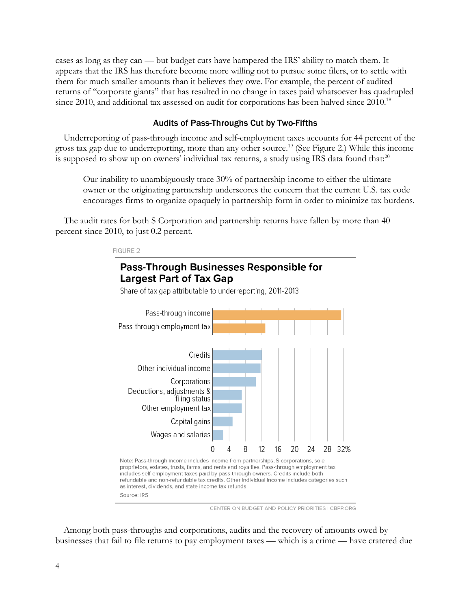cases as long as they can — but budget cuts have hampered the IRS' ability to match them. It appears that the IRS has therefore become more willing not to pursue some filers, or to settle with them for much smaller amounts than it believes they owe. For example, the percent of audited returns of "corporate giants" that has resulted in no change in taxes paid whatsoever has quadrupled since 2010, and additional tax assessed on audit for corporations has been halved since 2010.<sup>18</sup>

#### Audits of Pass-Throughs Cut by Two-Fifths

Underreporting of pass-through income and self-employment taxes accounts for 44 percent of the gross tax gap due to underreporting, more than any other source. <sup>19</sup> (See Figure 2.) While this income is supposed to show up on owners' individual tax returns, a study using IRS data found that:<sup>20</sup>

Our inability to unambiguously trace 30% of partnership income to either the ultimate owner or the originating partnership underscores the concern that the current U.S. tax code encourages firms to organize opaquely in partnership form in order to minimize tax burdens.

The audit rates for both S Corporation and partnership returns have fallen by more than 40 percent since 2010, to just 0.2 percent.



CENTER ON BUDGET AND POLICY PRIORITIES | CBPP.ORG

Among both pass-throughs and corporations, audits and the recovery of amounts owed by businesses that fail to file returns to pay employment taxes — which is a crime — have cratered due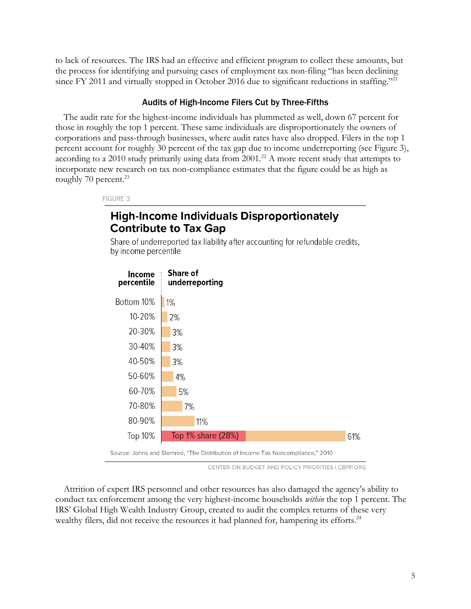to lack of resources. The IRS had an effective and efficient program to collect these amounts, but the process for identifying and pursuing cases of employment tax non-filing "has been declining since FY 2011 and virtually stopped in October 2016 due to significant reductions in staffing."<sup>21</sup>

#### Audits of High-Income Filers Cut by Three-Fifths

The audit rate for the highest-income individuals has plummeted as well, down 67 percent for those in roughly the top 1 percent. These same individuals are disproportionately the owners of corporations and pass-through businesses, where audit rates have also dropped. Filers in the top 1 percent account for roughly 30 percent of the tax gap due to income underreporting (see Figure 3), according to a 2010 study primarily using data from 2001.<sup>22</sup> A more recent study that attempts to incorporate new research on tax non-compliance estimates that the figure could be as high as roughly 70 percent. $^{23}$ 

FIGURE 3

## **High-Income Individuals Disproportionately Contribute to Tax Gap**

Share of underreported tax liability after accounting for refundable credits, by income percentile



CENTER ON BUDGET AND POLICY PRIORITIES | CBPP.ORG

Attrition of expert IRS personnel and other resources has also damaged the agency's ability to conduct tax enforcement among the very highest-income households *within* the top 1 percent. The IRS' Global High Wealth Industry Group, created to audit the complex returns of these very wealthy filers, did not receive the resources it had planned for, hampering its efforts.<sup>24</sup>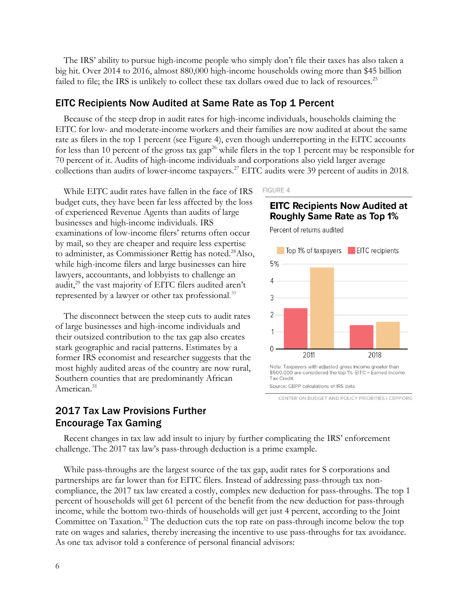The IRS' ability to pursue high-income people who simply don't file their taxes has also taken a big hit. Over 2014 to 2016, almost 880,000 high-income households owing more than \$45 billion failed to file; the IRS is unlikely to collect these tax dollars owed due to lack of resources.<sup>25</sup>

#### EITC Recipients Now Audited at Same Rate as Top 1 Percent

Because of the steep drop in audit rates for high-income individuals, households claiming the EITC for low- and moderate-income workers and their families are now audited at about the same rate as filers in the top 1 percent (see Figure 4), even though underreporting in the EITC accounts for less than 10 percent of the gross tax gap<sup>26</sup> while filers in the top 1 percent may be responsible for 70 percent of it. Audits of high-income individuals and corporations also yield larger average collections than audits of lower-income taxpayers. <sup>27</sup> EITC audits were 39 percent of audits in 2018.

While EITC audit rates have fallen in the face of IRS budget cuts, they have been far less affected by the loss of experienced Revenue Agents than audits of large businesses and high-income individuals. IRS examinations of low-income filers' returns often occur by mail, so they are cheaper and require less expertise to administer, as Commissioner Rettig has noted.<sup>28</sup>Also, while high-income filers and large businesses can hire lawyers, accountants, and lobbyists to challenge an audit,<sup>29</sup> the vast majority of EITC filers audited aren't represented by a lawyer or other tax professional*.* 30

The disconnect between the steep cuts to audit rates of large businesses and high-income individuals and their outsized contribution to the tax gap also creates stark geographic and racial patterns. Estimates by a former IRS economist and researcher suggests that the most highly audited areas of the country are now rural, Southern counties that are predominantly African American. 31

### 2017 Tax Law Provisions Further Encourage Tax Gaming

FIGURE 4

### **EITC Recipients Now Audited at Roughly Same Rate as Top 1%**

Percent of returns audited



CENTER ON BUDGET AND POLICY PRIORITIES | CBPP.ORG

Recent changes in tax law add insult to injury by further complicating the IRS' enforcement challenge. The 2017 tax law's pass-through deduction is a prime example.

While pass-throughs are the largest source of the tax gap, audit rates for S corporations and partnerships are far lower than for EITC filers. Instead of addressing pass-through tax noncompliance, the 2017 tax law created a costly, complex new deduction for pass-throughs. The top 1 percent of households will get 61 percent of the benefit from the new deduction for pass-through income, while the bottom two-thirds of households will get just 4 percent, according to the Joint Committee on Taxation.<sup>32</sup> The deduction cuts the top rate on pass-through income below the top rate on wages and salaries, thereby increasing the incentive to use pass-throughs for tax avoidance. As one tax advisor told a conference of personal financial advisors: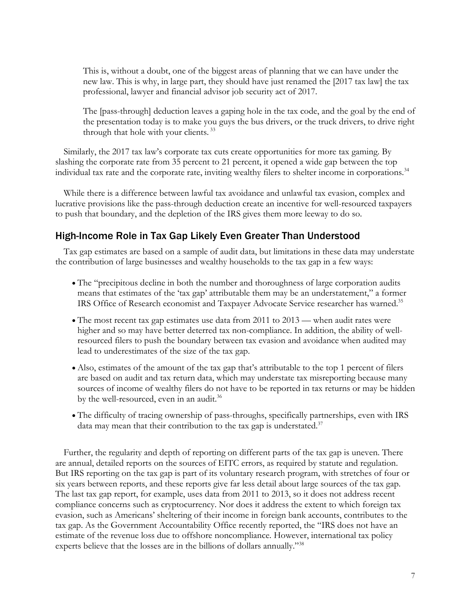This is, without a doubt, one of the biggest areas of planning that we can have under the new law. This is why, in large part, they should have just renamed the [2017 tax law] the tax professional, lawyer and financial advisor job security act of 2017.

The [pass-through] deduction leaves a gaping hole in the tax code, and the goal by the end of the presentation today is to make you guys the bus drivers, or the truck drivers, to drive right through that hole with your clients.<sup>33</sup>

Similarly, the 2017 tax law's corporate tax cuts create opportunities for more tax gaming. By slashing the corporate rate from 35 percent to 21 percent, it opened a wide gap between the top individual tax rate and the corporate rate, inviting wealthy filers to shelter income in corporations.34

While there is a difference between lawful tax avoidance and unlawful tax evasion, complex and lucrative provisions like the pass-through deduction create an incentive for well-resourced taxpayers to push that boundary, and the depletion of the IRS gives them more leeway to do so.

### High-Income Role in Tax Gap Likely Even Greater Than Understood

Tax gap estimates are based on a sample of audit data, but limitations in these data may understate the contribution of large businesses and wealthy households to the tax gap in a few ways:

- The "precipitous decline in both the number and thoroughness of large corporation audits means that estimates of the 'tax gap' attributable them may be an understatement," a former IRS Office of Research economist and Taxpayer Advocate Service researcher has warned.<sup>35</sup>
- The most recent tax gap estimates use data from 2011 to 2013 when audit rates were higher and so may have better deterred tax non-compliance. In addition, the ability of wellresourced filers to push the boundary between tax evasion and avoidance when audited may lead to underestimates of the size of the tax gap.
- Also, estimates of the amount of the tax gap that's attributable to the top 1 percent of filers are based on audit and tax return data, which may understate tax misreporting because many sources of income of wealthy filers do not have to be reported in tax returns or may be hidden by the well-resourced, even in an audit.<sup>36</sup>
- The difficulty of tracing ownership of pass-throughs, specifically partnerships, even with IRS data may mean that their contribution to the tax gap is understated. $37$

Further, the regularity and depth of reporting on different parts of the tax gap is uneven. There are annual, detailed reports on the sources of EITC errors, as required by statute and regulation. But IRS reporting on the tax gap is part of its voluntary research program, with stretches of four or six years between reports, and these reports give far less detail about large sources of the tax gap. The last tax gap report, for example, uses data from 2011 to 2013, so it does not address recent compliance concerns such as cryptocurrency. Nor does it address the extent to which foreign tax evasion, such as Americans' sheltering of their income in foreign bank accounts, contributes to the tax gap. As the Government Accountability Office recently reported, the "IRS does not have an estimate of the revenue loss due to offshore noncompliance. However, international tax policy experts believe that the losses are in the billions of dollars annually."38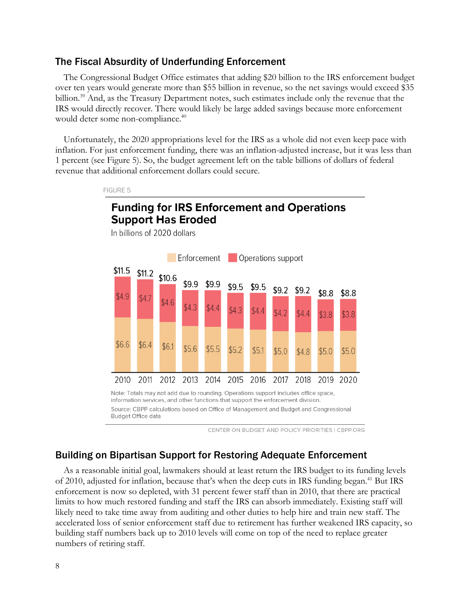### The Fiscal Absurdity of Underfunding Enforcement

FIGURE 5

The Congressional Budget Office estimates that adding \$20 billion to the IRS enforcement budget over ten years would generate more than \$55 billion in revenue, so the net savings would exceed \$35 billion.<sup>39</sup> And, as the Treasury Department notes, such estimates include only the revenue that the IRS would directly recover. There would likely be large added savings because more enforcement would deter some non-compliance.<sup>40</sup>

Unfortunately, the 2020 appropriations level for the IRS as a whole did not even keep pace with inflation. For just enforcement funding, there was an inflation-adjusted increase, but it was less than 1 percent (see Figure 5). So, the budget agreement left on the table billions of dollars of federal revenue that additional enforcement dollars could secure.

## **Funding for IRS Enforcement and Operations Support Has Eroded** In billions of 2020 dollars



information services, and other functions that support the enforcement division. Source: CBPP calculations based on Office of Management and Budget and Congressional Budget Office data

CENTER ON BUDGET AND POLICY PRIORITIES I CBPP.ORG

### Building on Bipartisan Support for Restoring Adequate Enforcement

As a reasonable initial goal, lawmakers should at least return the IRS budget to its funding levels of 2010, adjusted for inflation, because that's when the deep cuts in IRS funding began. <sup>41</sup> But IRS enforcement is now so depleted, with 31 percent fewer staff than in 2010, that there are practical limits to how much restored funding and staff the IRS can absorb immediately. Existing staff will likely need to take time away from auditing and other duties to help hire and train new staff. The accelerated loss of senior enforcement staff due to retirement has further weakened IRS capacity, so building staff numbers back up to 2010 levels will come on top of the need to replace greater numbers of retiring staff.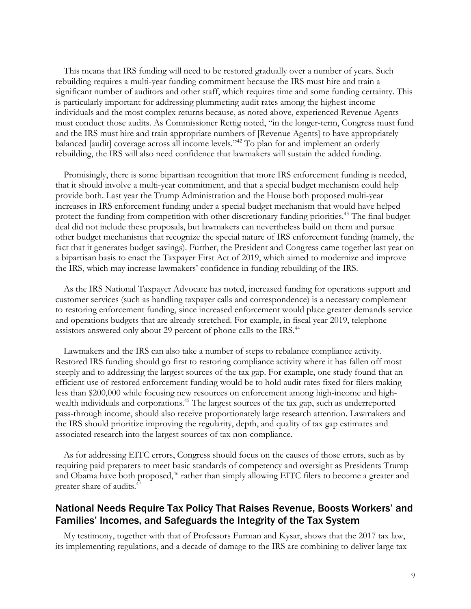This means that IRS funding will need to be restored gradually over a number of years. Such rebuilding requires a multi-year funding commitment because the IRS must hire and train a significant number of auditors and other staff, which requires time and some funding certainty. This is particularly important for addressing plummeting audit rates among the highest-income individuals and the most complex returns because, as noted above, experienced Revenue Agents must conduct those audits. As Commissioner Rettig noted, "in the longer-term, Congress must fund and the IRS must hire and train appropriate numbers of [Revenue Agents] to have appropriately balanced [audit] coverage across all income levels."42 To plan for and implement an orderly rebuilding, the IRS will also need confidence that lawmakers will sustain the added funding.

Promisingly, there is some bipartisan recognition that more IRS enforcement funding is needed, that it should involve a multi-year commitment, and that a special budget mechanism could help provide both. Last year the Trump Administration and the House both proposed multi-year increases in IRS enforcement funding under a special budget mechanism that would have helped protect the funding from competition with other discretionary funding priorities.43 The final budget deal did not include these proposals, but lawmakers can nevertheless build on them and pursue other budget mechanisms that recognize the special nature of IRS enforcement funding (namely, the fact that it generates budget savings). Further, the President and Congress came together last year on a bipartisan basis to enact the Taxpayer First Act of 2019, which aimed to modernize and improve the IRS, which may increase lawmakers' confidence in funding rebuilding of the IRS.

As the IRS National Taxpayer Advocate has noted, increased funding for operations support and customer services (such as handling taxpayer calls and correspondence) is a necessary complement to restoring enforcement funding, since increased enforcement would place greater demands service and operations budgets that are already stretched. For example, in fiscal year 2019, telephone assistors answered only about 29 percent of phone calls to the IRS.<sup>44</sup>

Lawmakers and the IRS can also take a number of steps to rebalance compliance activity. Restored IRS funding should go first to restoring compliance activity where it has fallen off most steeply and to addressing the largest sources of the tax gap. For example, one study found that an efficient use of restored enforcement funding would be to hold audit rates fixed for filers making less than \$200,000 while focusing new resources on enforcement among high-income and highwealth individuals and corporations. <sup>45</sup> The largest sources of the tax gap, such as underreported pass-through income, should also receive proportionately large research attention. Lawmakers and the IRS should prioritize improving the regularity, depth, and quality of tax gap estimates and associated research into the largest sources of tax non-compliance.

As for addressing EITC errors, Congress should focus on the causes of those errors, such as by requiring paid preparers to meet basic standards of competency and oversight as Presidents Trump and Obama have both proposed, <sup>46</sup> rather than simply allowing EITC filers to become a greater and greater share of audits. 47

### National Needs Require Tax Policy That Raises Revenue, Boosts Workers' and Families' Incomes, and Safeguards the Integrity of the Tax System

My testimony, together with that of Professors Furman and Kysar, shows that the 2017 tax law, its implementing regulations, and a decade of damage to the IRS are combining to deliver large tax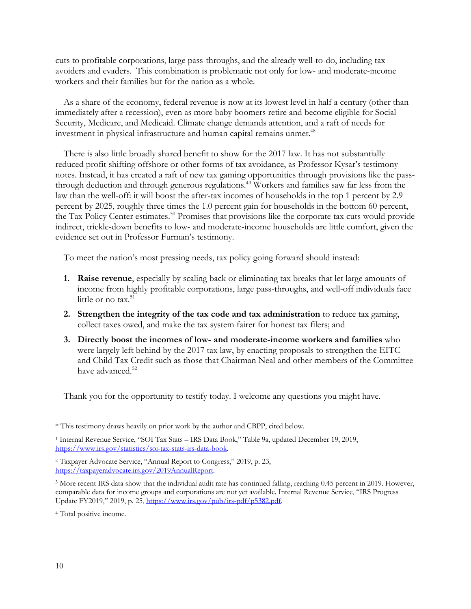cuts to profitable corporations, large pass-throughs, and the already well-to-do, including tax avoiders and evaders. This combination is problematic not only for low- and moderate-income workers and their families but for the nation as a whole.

As a share of the economy, federal revenue is now at its lowest level in half a century (other than immediately after a recession), even as more baby boomers retire and become eligible for Social Security, Medicare, and Medicaid. Climate change demands attention, and a raft of needs for investment in physical infrastructure and human capital remains unmet. 48

There is also little broadly shared benefit to show for the 2017 law. It has not substantially reduced profit shifting offshore or other forms of tax avoidance, as Professor Kysar's testimony notes. Instead, it has created a raft of new tax gaming opportunities through provisions like the passthrough deduction and through generous regulations. <sup>49</sup> Workers and families saw far less from the law than the well-off: it will boost the after-tax incomes of households in the top 1 percent by 2.9 percent by 2025, roughly three times the 1.0 percent gain for households in the bottom 60 percent, the Tax Policy Center estimates.<sup>50</sup> Promises that provisions like the corporate tax cuts would provide indirect, trickle-down benefits to low- and moderate-income households are little comfort, given the evidence set out in Professor Furman's testimony.

To meet the nation's most pressing needs, tax policy going forward should instead:

- **1. Raise revenue**, especially by scaling back or eliminating tax breaks that let large amounts of income from highly profitable corporations, large pass-throughs, and well-off individuals face little or no tax. $51$
- **2. Strengthen the integrity of the tax code and tax administration** to reduce tax gaming, collect taxes owed, and make the tax system fairer for honest tax filers; and
- **3. Directly boost the incomes of low- and moderate-income workers and families** who were largely left behind by the 2017 tax law, by enacting proposals to strengthen the EITC and Child Tax Credit such as those that Chairman Neal and other members of the Committee have advanced. 52

Thank you for the opportunity to testify today. I welcome any questions you might have.

<sup>\*</sup> This testimony draws heavily on prior work by the author and CBPP, cited below.

<sup>1</sup> Internal Revenue Service, "SOI Tax Stats – IRS Data Book," Table 9a, updated December 19, 2019, https://www.irs.gov/statistics/soi-tax-stats-irs-data-book.

<sup>2</sup> Taxpayer Advocate Service, "Annual Report to Congress," 2019, p. 23, https://taxpayeradvocate.irs.gov/2019AnnualReport.

<sup>3</sup> More recent IRS data show that the individual audit rate has continued falling, reaching 0.45 percent in 2019. However, comparable data for income groups and corporations are not yet available. Internal Revenue Service, "IRS Progress Update FY2019," 2019, p. 25, https://www.irs.gov/pub/irs-pdf/p5382.pdf.

<sup>4</sup> Total positive income.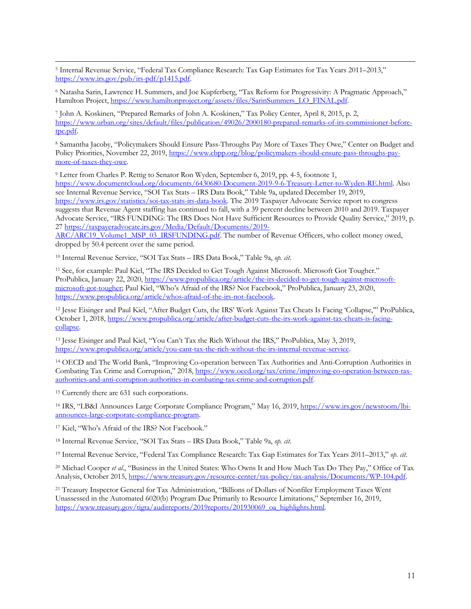<sup>5</sup> Internal Revenue Service, "Federal Tax Compliance Research: Tax Gap Estimates for Tax Years 2011–2013," https://www.irs.gov/pub/irs-pdf/p1415.pdf.

<sup>6</sup> Natasha Sarin, Lawrence H. Summers, and Joe Kupferberg, "Tax Reform for Progressivity: A Pragmatic Approach," Hamilton Project, https://www.hamiltonproject.org/assets/files/SarinSummers\_LO\_FINAL.pdf.

<sup>7</sup> John A. Koskinen, "Prepared Remarks of John A. Koskinen," Tax Policy Center, April 8, 2015, p. 2, https://www.urban.org/sites/default/files/publication/49026/2000180-prepared-remarks-of-irs-commissioner-beforetpc.pdf.

<sup>8</sup> Samantha Jacoby, "Policymakers Should Ensure Pass-Throughs Pay More of Taxes They Owe," Center on Budget and Policy Priorities, November 22, 2019, https://www.cbpp.org/blog/policymakers-should-ensure-pass-throughs-paymore-of-taxes-they-owe.

<sup>9</sup> Letter from Charles P. Rettig to Senator Ron Wyden, September 6, 2019, pp. 4-5, footnote 1, https://www.documentcloud.org/documents/6430680-Document-2019-9-6-Treasury-Letter-to-Wyden-RE.html. Also see Internal Revenue Service, "SOI Tax Stats – IRS Data Book," Table 9a, updated December 19, 2019, https://www.irs.gov/statistics/soi-tax-stats-irs-data-book. The 2019 Taxpayer Advocate Service report to congress suggests that Revenue Agent staffing has continued to fall, with a 39 percent decline between 2010 and 2019. Taxpayer Advocate Service, "IRS FUNDING: The IRS Does Not Have Sufficient Resources to Provide Quality Service," 2019, p. 27 https://taxpayeradvocate.irs.gov/Media/Default/Documents/2019-

ARC/ARC19 Volume1\_MSP\_03\_IRSFUNDING.pdf. The number of Revenue Officers, who collect money owed, dropped by 50.4 percent over the same period.

<sup>10</sup> Internal Revenue Service, "SOI Tax Stats – IRS Data Book," Table 9a, *op. cit*.

<sup>11</sup> See, for example: Paul Kiel, "The IRS Decided to Get Tough Against Microsoft. Microsoft Got Tougher." ProPublica, January 22, 2020, https://www.propublica.org/article/the-irs-decided-to-get-tough-against-microsoftmicrosoft-got-tougher; Paul Kiel, "Who's Afraid of the IRS? Not Facebook," ProPublica, January 23, 2020, https://www.propublica.org/article/whos-afraid-of-the-irs-not-facebook.

<sup>12</sup> Jesse Eisinger and Paul Kiel, "After Budget Cuts, the IRS' Work Against Tax Cheats Is Facing 'Collapse,'" ProPublica, October 1, 2018, https://www.propublica.org/article/after-budget-cuts-the-irs-work-against-tax-cheats-is-facingcollapse.

<sup>13</sup> Jesse Eisinger and Paul Kiel, "You Can't Tax the Rich Without the IRS," ProPublica, May 3, 2019, https://www.propublica.org/article/you-cant-tax-the-rich-without-the-irs-internal-revenue-service.

<sup>14</sup> OECD and The World Bank, "Improving Co-operation between Tax Authorities and Anti-Corruption Authorities in Combating Tax Crime and Corruption," 2018, https://www.oecd.org/tax/crime/improving-co-operation-between-taxauthorities-and-anti-corruption-authorities-in-combating-tax-crime-and-corruption.pdf.

<sup>15</sup> Currently there are 631 such corporations.

<sup>16</sup> IRS, "LB&I Announces Large Corporate Compliance Program," May 16, 2019, https://www.irs.gov/newsroom/lbiannounces-large-corporate-compliance-program.

<sup>17</sup> Kiel, "Who's Afraid of the IRS? Not Facebook."

<sup>18</sup> Internal Revenue Service, "SOI Tax Stats – IRS Data Book," Table 9a, *op. cit*.

<sup>19</sup> Internal Revenue Service, "Federal Tax Compliance Research: Tax Gap Estimates for Tax Years 2011–2013," *op. cit*.

<sup>20</sup> Michael Cooper *et al*., "Business in the United States: Who Owns It and How Much Tax Do They Pay," Office of Tax Analysis, October 2015, https://www.treasury.gov/resource-center/tax-policy/tax-analysis/Documents/WP-104.pdf.

<sup>21</sup> Treasury Inspector General for Tax Administration, "Billions of Dollars of Nonfiler Employment Taxes Went Unassessed in the Automated 6020(b) Program Due Primarily to Resource Limitations," September 16, 2019, https://www.treasury.gov/tigta/auditreports/2019reports/201930069\_oa\_highlights.html.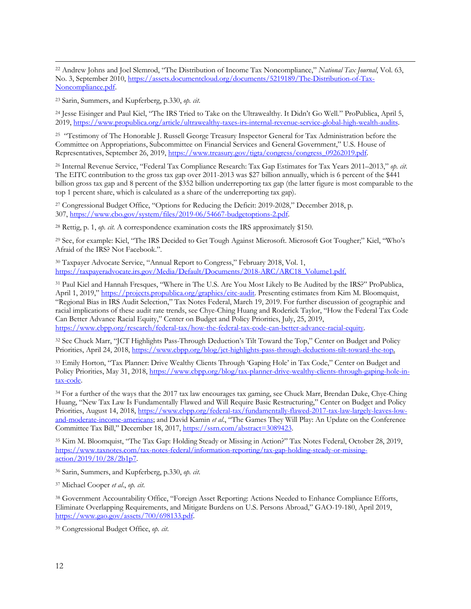<sup>22</sup> Andrew Johns and Joel Slemrod, "The Distribution of Income Tax Noncompliance," *National Tax Journal*, Vol. 63, No. 3, September 2010, https://assets.documentcloud.org/documents/5219189/The-Distribution-of-Tax-Noncompliance.pdf.

<sup>23</sup> Sarin, Summers, and Kupferberg, p.330, *op. cit*.

<sup>24</sup> Jesse Eisinger and Paul Kiel, "The IRS Tried to Take on the Ultrawealthy. It Didn't Go Well." ProPublica, April 5, 2019, https://www.propublica.org/article/ultrawealthy-taxes-irs-internal-revenue-service-global-high-wealth-audits.

<sup>25</sup> "Testimony of The Honorable J. Russell George Treasury Inspector General for Tax Administration before the Committee on Appropriations, Subcommittee on Financial Services and General Government," U.S. House of Representatives, September 26, 2019, https://www.treasury.gov/tigta/congress/congress\_09262019.pdf.

<sup>26</sup> Internal Revenue Service, "Federal Tax Compliance Research: Tax Gap Estimates for Tax Years 2011–2013," *op. cit*. The EITC contribution to the gross tax gap over 2011-2013 was \$27 billion annually, which is 6 percent of the \$441 billion gross tax gap and 8 percent of the \$352 billion underreporting tax gap (the latter figure is most comparable to the top 1 percent share, which is calculated as a share of the underreporting tax gap).

<sup>27</sup> Congressional Budget Office, "Options for Reducing the Deficit: 2019-2028," December 2018, p. 307, https://www.cbo.gov/system/files/2019-06/54667-budgetoptions-2.pdf.

<sup>28</sup> Rettig, p. 1, *op. cit.* A correspondence examination costs the IRS approximately \$150.

<sup>29</sup> See, for example: Kiel, "The IRS Decided to Get Tough Against Microsoft. Microsoft Got Tougher;" Kiel, "Who's Afraid of the IRS? Not Facebook.".

<sup>30</sup> Taxpayer Advocate Service, "Annual Report to Congress," February 2018, Vol. 1, https://taxpayeradvocate.irs.gov/Media/Default/Documents/2018-ARC/ARC18\_Volume1.pdf.

<sup>31</sup> Paul Kiel and Hannah Fresques, "Where in The U.S. Are You Most Likely to Be Audited by the IRS?" ProPublica, April 1, 2019," https://projects.propublica.org/graphics/eitc-audit. Presenting estimates from Kim M. Bloomquist, "Regional Bias in IRS Audit Selection," Tax Notes Federal, March 19, 2019. For further discussion of geographic and racial implications of these audit rate trends, see Chye-Ching Huang and Roderick Taylor, "How the Federal Tax Code Can Better Advance Racial Equity," Center on Budget and Policy Priorities, July, 25, 2019, https://www.cbpp.org/research/federal-tax/how-the-federal-tax-code-can-better-advance-racial-equity.

<sup>32</sup> See Chuck Marr, "JCT Highlights Pass-Through Deduction's Tilt Toward the Top," Center on Budget and Policy Priorities, April 24, 2018, https://www.cbpp.org/blog/jct-highlights-pass-through-deductions-tilt-toward-the-top.

<sup>33</sup> Emily Horton, "Tax Planner: Drive Wealthy Clients Through 'Gaping Hole' in Tax Code," Center on Budget and Policy Priorities, May 31, 2018, https://www.cbpp.org/blog/tax-planner-drive-wealthy-clients-through-gaping-hole-intax-code.

<sup>34</sup> For a further of the ways that the 2017 tax law encourages tax gaming, see Chuck Marr, Brendan Duke, Chye-Ching Huang, "New Tax Law Is Fundamentally Flawed and Will Require Basic Restructuring," Center on Budget and Policy Priorities, August 14, 2018, https://www.cbpp.org/federal-tax/fundamentally-flawed-2017-tax-law-largely-leaves-lowand-moderate-income-americans; and David Kamin *et al*., "The Games They Will Play: An Update on the Conference Committee Tax Bill," December 18, 2017, https://ssrn.com/abstract=3089423.

<sup>35</sup> Kim M. Bloomquist, "The Tax Gap: Holding Steady or Missing in Action?" Tax Notes Federal, October 28, 2019, https://www.taxnotes.com/tax-notes-federal/information-reporting/tax-gap-holding-steady-or-missingaction/2019/10/28/2b1p7.

<sup>36</sup> Sarin, Summers, and Kupferberg, p.330, *op. cit*.

<sup>37</sup> Michael Cooper *et al*., *op. cit*.

<sup>38</sup> Government Accountability Office, "Foreign Asset Reporting: Actions Needed to Enhance Compliance Efforts, Eliminate Overlapping Requirements, and Mitigate Burdens on U.S. Persons Abroad," GAO-19-180, April 2019, https://www.gao.gov/assets/700/698133.pdf.

<sup>39</sup> Congressional Budget Office, *op. cit*.